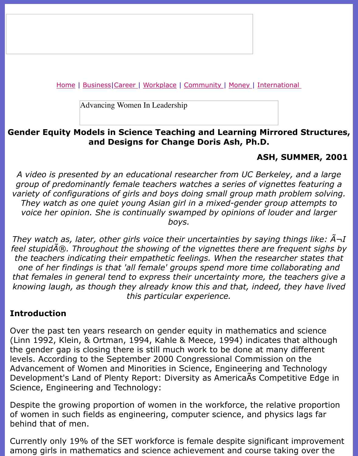Advancing Women In Leadership

### **Gender Equity Models in Science Teaching and Learning Mirrored Structure [and D](file:///business.html)[esign](file:///awcareer.html)s [for Cha](file:///workplace.html)n[ge Doris](file:///ub/UltraBoard.cgi) [Ash, P](file:///finance.html)[h](file:///lifestyles/lifestyles.html)[.D.](file:///international.html)**

#### **ASH, SUMN**

A video is presented by an educational researcher from UC Berkeley, and group of predominantly female teachers watches a series of vignettes fe *variety of configurations of girls and boys doing small group math proble* They watch as one quiet young Asian girl in a mixed-gender group atte *voice her opinion. She is continually swamped by opinions of louder and larger boys.*

*They watch as, later, other girls voice their uncertainties by saying thing. feel stupid* A®. Throughout the showing of the vignettes there are frequenty the teachers indicating their empathetic feelings. When the researcher states one of her findings is that 'all female' groups spend more time collaborating and that females in general tend to express their uncertainty more, the teach *knowing laugh, as though they already know this and that, indeed, they this particular experience.*

#### **Introduction**

Over the past ten years research on gender equity in mathematics and so (Linn 1992, Klein, & Ortman, 1994, Kahle & Meece, 1994) indicates that a the gender gap is closing there is still much work to be done at many diff levels. According to the September 2000 Congressional Commission on the Advancement of Women and Minorities in Science, Engineering and Techn Development's Land of Plenty Report: Diversity as AmericaAs Competitive Science, Engineering and Technology:

Despite the growing proportion of women in the workforce, the relative p of women in such fields as engineering, computer science, and physics la behind that of men.

Currently only 19% of the SET workforce is female despite significant improvement among girls in mathematics and science achievement and course taking on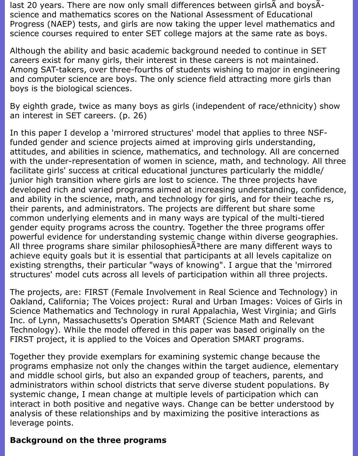last 20 years. There are now only small differences between girls A and boys Ascience and mathematics scores on the National Assessment of Educational Progress (NAEP) tests, and girls are now taking the upper level mathematics and science courses required to enter SET college majors at the same rate as boys.

Although the ability and basic academic background needed to continue in SET careers exist for many girls, their interest in these careers is not maintained. Among SAT-takers, over three-fourths of students wishing to major in engineering and computer science are boys. The only science field attracting more girls than boys is the biological sciences.

By eighth grade, twice as many boys as girls (independent of race/ethnicity) show an interest in SET careers. (p. 26)

In this paper I develop a 'mirrored structures' model that applies to three NSFfunded gender and science projects aimed at improving girls understanding, attitudes, and abilities in science, mathematics, and technology. All are concerned with the under-representation of women in science, math, and technology. All three facilitate girls' success at critical educational junctures particularly the middle/ junior high transition where girls are lost to science. The three projects have developed rich and varied programs aimed at increasing understanding, confidence, and ability in the science, math, and technology for girls, and for their teache rs, their parents, and administrators. The projects are different but share some common underlying elements and in many ways are typical of the multi-tiered gender equity programs across the country. Together the three programs offer powerful evidence for understanding systemic change within diverse geographies. All three programs share similar philosophiesÂ<sup>3</sup>there are many different ways to achieve equity goals but it is essential that participants at all levels capitalize on existing strengths, their particular "ways of knowing". I argue that the 'mirrored structures' model cuts across all levels of participation within all three projects.

The projects, are: FIRST (Female Involvement in Real Science and Technology) in Oakland, California; The Voices project: Rural and Urban Images: Voices of Girls in Science Mathematics and Technology in rural Appalachia, West Virginia; and Girls Inc. of Lynn, Massachusetts's Operation SMART (Science Math and Relevant Technology). While the model offered in this paper was based originally on the FIRST project, it is applied to the Voices and Operation SMART programs.

Together they provide exemplars for examining systemic change because the programs emphasize not only the changes within the target audience, elementary and middle school girls, but also an expanded group of teachers, parents, and administrators within school districts that serve diverse student populations. By systemic change, I mean change at multiple levels of participation which can interact in both positive and negative ways. Change can be better understood by analysis of these relationships and by maximizing the positive interactions as leverage points.

### **Background on the three programs**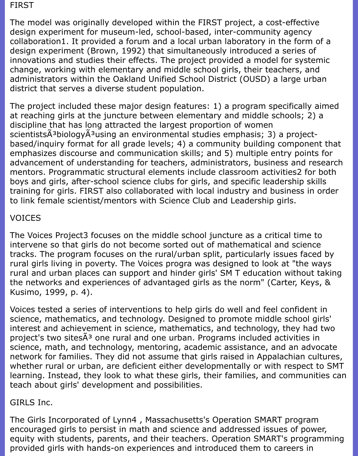#### FIRST

The model was originally developed within the FIRST project, a cost-effective design experiment for museum-led, school-based, inter-community agency collaboration1. It provided a forum and a local urban laboratory in the form of a design experiment (Brown, 1992) that simultaneously introduced a series of innovations and studies their effects. The project provided a model for systemic change, working with elementary and middle school girls, their teachers, and administrators within the Oakland Unified School District (OUSD) a large urban district that serves a diverse student population.

The project included these major design features: 1) a program specifically aimed at reaching girls at the juncture between elementary and middle schools; 2) a discipline that has long attracted the largest proportion of women scientistsÃ<sup>3</sup>biologyÃ<sup>3</sup>using an environmental studies emphasis; 3) a projectbased/inquiry format for all grade levels; 4) a community building component that emphasizes discourse and communication skills; and 5) multiple entry points for advancement of understanding for teachers, administrators, business and research mentors. Programmatic structural elements include classroom activities2 for both boys and girls, after-school science clubs for girls, and specific leadership skills training for girls. FIRST also collaborated with local industry and business in order to link female scientist/mentors with Science Club and Leadership girls.

# VOICES

The Voices Project3 focuses on the middle school juncture as a critical time to intervene so that girls do not become sorted out of mathematical and science tracks. The program focuses on the rural/urban split, particularly issues faced by rural girls living in poverty. The Voices progra was designed to look at "the ways rural and urban places can support and hinder girls' SM T education without taking the networks and experiences of advantaged girls as the norm" (Carter, Keys, & Kusimo, 1999, p. 4).

Voices tested a series of interventions to help girls do well and feel confident in science, mathematics, and technology. Designed to promote middle school girls' interest and achievement in science, mathematics, and technology, they had two project's two sites A<sup>3</sup> one rural and one urban. Programs included activities in science, math, and technology, mentoring, academic assistance, and an advocate network for families. They did not assume that girls raised in Appalachian cultures, whether rural or urban, are deficient either developmentally or with respect to SMT learning. Instead, they look to what these girls, their families, and communities can teach about girls' development and possibilities.

## GIRLS Inc.

The Girls Incorporated of Lynn4 , Massachusetts's Operation SMART program encouraged girls to persist in math and science and addressed issues of power, equity with students, parents, and their teachers. Operation SMART's programming provided girls with hands-on experiences and introduced them to careers in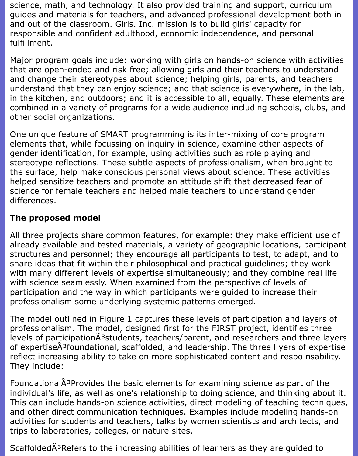science, math, and technology. It also provided training and support, curriculum guides and materials for teachers, and advanced professional development both in and out of the classroom. Girls. Inc. mission is to build girls' capacity for responsible and confident adulthood, economic independence, and personal fulfillment.

Major program goals include: working with girls on hands-on science with activities that are open-ended and risk free; allowing girls and their teachers to understand and change their stereotypes about science; helping girls, parents, and teachers understand that they can enjoy science; and that science is everywhere, in the lab, in the kitchen, and outdoors; and it is accessible to all, equally. These elements are combined in a variety of programs for a wide audience including schools, clubs, and other social organizations.

One unique feature of SMART programming is its inter-mixing of core program elements that, while focussing on inquiry in science, examine other aspects of gender identification, for example, using activities such as role playing and stereotype reflections. These subtle aspects of professionalism, when brought to the surface, help make conscious personal views about science. These activities helped sensitize teachers and promote an attitude shift that decreased fear of science for female teachers and helped male teachers to understand gender differences.

# **The proposed model**

All three projects share common features, for example: they make efficient use of already available and tested materials, a variety of geographic locations, participant structures and personnel; they encourage all participants to test, to adapt, and to share ideas that fit within their philosophical and practical guidelines; they work with many different levels of expertise simultaneously; and they combine real life with science seamlessly. When examined from the perspective of levels of participation and the way in which participants were guided to increase their professionalism some underlying systemic patterns emerged.

The model outlined in Figure 1 captures these levels of participation and layers of professionalism. The model, designed first for the FIRST project, identifies three levels of participation $\tilde{A}^3$ students, teachers/parent, and researchers and three layers of expertise A<sup>3</sup>foundational, scaffolded, and leadership. The three I yers of expertise reflect increasing ability to take on more sophisticated content and respo nsability. They include:

Foundational $\tilde{A}^3$ Provides the basic elements for examining science as part of the individual's life, as well as one's relationship to doing science, and thinking about it. This can include hands-on science activities, direct modeling of teaching techniques, and other direct communication techniques. Examples include modeling hands-on activities for students and teachers, talks by women scientists and architects, and trips to laboratories, colleges, or nature sites.

ScaffoldedÃ<sup>3</sup>Refers to the increasing abilities of learners as they are guided to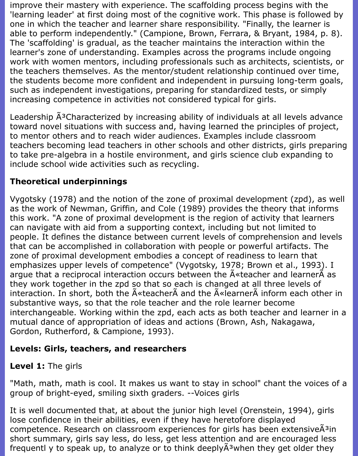improve their mastery with experience. The scaffolding process begins with the 'learning leader' at first doing most of the cognitive work. This phase is followed by one in which the teacher and learner share responsibility. "Finally, the learner is able to perform independently." (Campione, Brown, Ferrara, & Bryant, 1984, p. 8). The 'scaffolding' is gradual, as the teacher maintains the interaction within the learner's zone of understanding. Examples across the programs include ongoing work with women mentors, including professionals such as architects, scientists, or the teachers themselves. As the mentor/student relationship continued over time, the students become more confident and independent in pursuing long-term goals, such as independent investigations, preparing for standardized tests, or simply increasing competence in activities not considered typical for girls.

Leadership  $\tilde{A}^3$ Characterized by increasing ability of individuals at all levels advance toward novel situations with success and, having learned the principles of project, to mentor others and to reach wider audiences. Examples include classroom teachers becoming lead teachers in other schools and other districts, girls preparing to take pre-algebra in a hostile environment, and girls science club expanding to include school wide activities such as recycling.

# **Theoretical underpinnings**

Vygotsky (1978) and the notion of the zone of proximal development (zpd), as well as the work of Newman, Griffin, and Cole (1989) provides the theory that informs this work. "A zone of proximal development is the region of activity that learners can navigate with aid from a supporting context, including but not limited to people. It defines the distance between current levels of comprehension and levels that can be accomplished in collaboration with people or powerful artifacts. The zone of proximal development embodies a concept of readiness to learn that emphasizes upper levels of competence" (Vygotsky, 1978; Brown et al., 1993). I argue that a reciprocal interaction occurs between the  $\tilde{A}$  teacher and learner $\tilde{A}$  as they work together in the zpd so that so each is changed at all three levels of interaction. In short, both the  $\tilde{A}$ «teacher $\tilde{A}$  and the  $\tilde{A}$ «learner $\tilde{A}$  inform each other in substantive ways, so that the role teacher and the role learner become interchangeable. Working within the zpd, each acts as both teacher and learner in a mutual dance of appropriation of ideas and actions (Brown, Ash, Nakagawa, Gordon, Rutherford, & Campione, 1993).

## **Levels: Girls, teachers, and researchers**

## **Level 1:** The girls

"Math, math, math is cool. It makes us want to stay in school" chant the voices of a group of bright-eyed, smiling sixth graders. --Voices girls

It is well documented that, at about the junior high level (Orenstein, 1994), girls lose confidence in their abilities, even if they have heretofore displayed competence. Research on classroom experiences for girls has been extensive $\tilde{A}^3$ in short summary, girls say less, do less, get less attention and are encouraged less frequentl y to speak up, to analyze or to think deeply $\tilde{A}^3$ when they get older they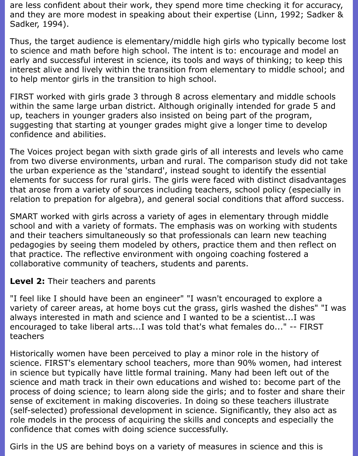are less confident about their work, they spend more time checking it for accuracy, and they are more modest in speaking about their expertise (Linn, 1992; Sadker & Sadker, 1994).

Thus, the target audience is elementary/middle high girls who typically become lost to science and math before high school. The intent is to: encourage and model an early and successful interest in science, its tools and ways of thinking; to keep this interest alive and lively within the transition from elementary to middle school; and to help mentor girls in the transition to high school.

FIRST worked with girls grade 3 through 8 across elementary and middle schools within the same large urban district. Although originally intended for grade 5 and up, teachers in younger graders also insisted on being part of the program, suggesting that starting at younger grades might give a longer time to develop confidence and abilities.

The Voices project began with sixth grade girls of all interests and levels who came from two diverse environments, urban and rural. The comparison study did not take the urban experience as the 'standard', instead sought to identify the essential elements for success for rural girls. The girls were faced with distinct disadvantages that arose from a variety of sources including teachers, school policy (especially in relation to prepation for algebra), and general social conditions that afford success.

SMART worked with girls across a variety of ages in elementary through middle school and with a variety of formats. The emphasis was on working with students and their teachers simultaneously so that professionals can learn new teaching pedagogies by seeing them modeled by others, practice them and then reflect on that practice. The reflective environment with ongoing coaching fostered a collaborative community of teachers, students and parents.

### **Level 2:** Their teachers and parents

"I feel like I should have been an engineer" "I wasn't encouraged to explore a variety of career areas, at home boys cut the grass, girls washed the dishes" "I was always interested in math and science and I wanted to be a scientist...I was encouraged to take liberal arts...I was told that's what females do..." -- FIRST teachers

Historically women have been perceived to play a minor role in the history of science. FIRST's elementary school teachers, more than 90% women, had interest in science but typically have little formal training. Many had been left out of the science and math track in their own educations and wished to: become part of the process of doing science; to learn along side the girls; and to foster and share their sense of excitement in making discoveries. In doing so these teachers illustrate (self-selected) professional development in science. Significantly, they also act as role models in the process of acquiring the skills and concepts and especially the confidence that comes with doing science successfully.

Girls in the US are behind boys on a variety of measures in science and this is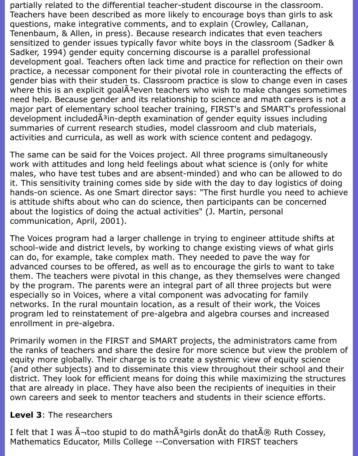partially related to the differential teacher-student discourse in the classroom. Teachers have been described as more likely to encourage boys than girls to ask questions, make integrative comments, and to explain (Crowley, Callanan, Tenenbaum, & Allen, in press). Because research indicates that even teachers sensitized to gender issues typically favor white boys in the classroom (Sadker & Sadker, 1994) gender equity concerning discourse is a parallel professional development goal. Teachers often lack time and practice for reflection on their own practice, a necessar component for their pivotal role in counteracting the effects of gender bias with their studen ts. Classroom practice is slow to change even in cases where this is an explicit goal A<sup>3</sup> even teachers who wish to make changes sometimes need help. Because gender and its relationship to science and math careers is not a major part of elementary school teacher training, FIRST's and SMART's professional development included $\tilde{A}^3$ in-depth examination of gender equity issues including summaries of current research studies, model classroom and club materials, activities and curricula, as well as work with science content and pedagogy.

The same can be said for the Voices project. All three programs simultaneously work with attitudes and long held feelings about what science is (only for white males, who have test tubes and are absent-minded) and who can be allowed to do it. This sensitivity training comes side by side with the day to day logistics of doing hands-on science. As one Smart director says: "The first hurdle you need to achieve is attitude shifts about who can do science, then participants can be concerned about the logistics of doing the actual activities" (J. Martin, personal communication, April, 2001).

The Voices program had a larger challenge in trying to engineer attitude shifts at school-wide and district levels, by working to change existing views of what girls can do, for example, take complex math. They needed to pave the way for advanced courses to be offered, as well as to encourage the girls to want to take them. The teachers were pivotal in this change, as they themselves were changed by the program. The parents were an integral part of all three projects but were especially so in Voices, where a vital component was advocating for family networks. In the rural mountain location, as a result of their work, the Voices program led to reinstatement of pre-algebra and algebra courses and increased enrollment in pre-algebra.

Primarily women in the FIRST and SMART projects, the administrators came from the ranks of teachers and share the desire for more science but view the problem of equity more globally. Their charge is to create a systemic view of equity science (and other subjects) and to disseminate this view throughout their school and their district. They look for efficient means for doing this while maximizing the structures that are already in place. They have also been the recipients of inequities in their own careers and seek to mentor teachers and students in their science efforts.

### **Level 3**: The researchers

I felt that I was  $\tilde{A}$ -too stupid to do math $\tilde{A}^3$ girls don $\tilde{A}$ t do that $\tilde{A}$ ® Ruth Cossey, Mathematics Educator, Mills College --Conversation with FIRST teachers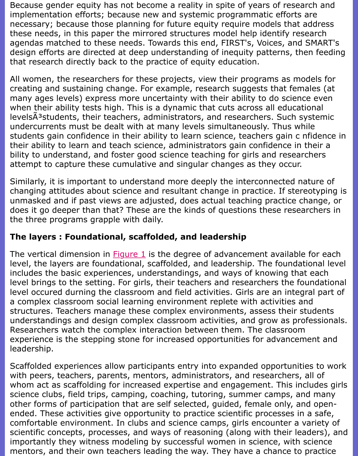that research directly back to the practice of equity education.

All women, the researchers for these projects, view their programs as mo creating and sustaining change. For example, research suggests that fem many ages levels) express more uncertainty with their ability to do sciend when their ability tests high. This is a dynamic that cuts across all educat levelsÄ<sup>3</sup>students, their teachers, administrators, and researchers. Such st undercurrents must be dealt with at many levels simultaneously. Thus wh students gain confidence in their ability to learn science, teachers gain c in their ability to learn and teach science, administrators gain confidence in bility to understand, and foster good science teaching for girls and resear attempt to capture these cumulative and singular changes as they occur.

Similarly, it is important to understand more deeply the interconnected nature of changing attitudes about science and resultant change in practice. If stere unmasked and if past views are adjusted, does actual teaching practice c does it go deeper than that? These are the kinds of questions these resear the three programs grapple with daily.

# **The layers : Foundational, scaffolded, and leadership**

The vertical dimension in Figure 1 is the degree of advancement available level, the layers are foundational, scaffolded, and leadership. The foundat includes the basic experiences, understandings, and ways of knowing that level brings to the setting. For girls, their teachers and researchers the fo level occured durning the classroom and field activities. Girls are an integ a complex classroom social learning environment replete with activities a structures. Teachers manage these complex environments, assess their students understandings and desig[n comple](file:///Users/nrahman/Dropbox/AWL/AWL%20BackUP-2/summer2001/ash.html#%20Figure%201)x classroom activities, and grow as pro Researchers watch the complex interaction between them. The classroom experience is the stepping stone for increased opportunities for advancen leadership.

Scaffolded experiences allow participants entry into expanded opportunition with peers, teachers, parents, mentors, administrators, and researchers, whom act as scaffolding for increased expertise and engagement. This ine science clubs, field trips, camping, coaching, tutoring, summer camps, an other forms of participation that are self selected, guided, female only, ar ended. These activities give opportunity to practice scientific processes in comfortable environment. In clubs and science camps, girls encounter a variety scientific concepts, processes, and ways of reasoning (along with their lea importantly they witness modeling by successful women in science, with s mentors, and their own teachers leading the way. They have a chance to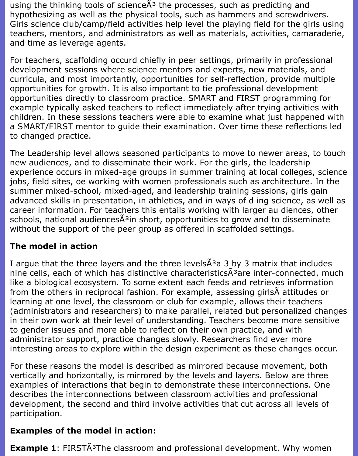using the thinking tools of science $\tilde{A}^3$  the processes, such as predicting and hypothesizing as well as the physical tools, such as hammers and screwdrivers. Girls science club/camp/field activities help level the playing field for the girls using teachers, mentors, and administrators as well as materials, activities, camaraderie, and time as leverage agents.

For teachers, scaffolding occurd chiefly in peer settings, primarily in professional development sessions where science mentors and experts, new materials, and curricula, and most importantly, opportunities for self-reflection, provide multiple opportunities for growth. It is also important to tie professional development opportunities directly to classroom practice. SMART and FIRST programming for example typically asked teachers to reflect immediately after trying activities with children. In these sessions teachers were able to examine what just happened with a SMART/FIRST mentor to guide their examination. Over time these reflections led to changed practice.

The Leadership level allows seasoned participants to move to newer areas, to touch new audiences, and to disseminate their work. For the girls, the leadership experience occurs in mixed-age groups in summer training at local colleges, science jobs, field sites, oe working with women professionals such as architecture. In the summer mixed-school, mixed-aged, and leadership training sessions, girls gain advanced skills in presentation, in athletics, and in ways of d ing science, as well as career information. For teachers this entails working with larger au diences, other schools, national audiences A<sup>3</sup>in short, opportunities to grow and to disseminate without the support of the peer group as offered in scaffolded settings.

## **The model in action**

I argue that the three layers and the three levels $\tilde{A}^3$ a 3 by 3 matrix that includes nine cells, each of which has distinctive characteristics $\tilde{A}^3$ are inter-connected, much like a biological ecosystem. To some extent each feeds and retrieves information from the others in reciprocal fashion. For example, assessing girlsà attitudes or learning at one level, the classroom or club for example, allows their teachers (administrators and researchers) to make parallel, related but personalized changes in their own work at their level of understanding. Teachers become more sensitive to gender issues and more able to reflect on their own practice, and with administrator support, practice changes slowly. Researchers find ever more interesting areas to explore within the design experiment as these changes occur.

For these reasons the model is described as mirrored because movement, both vertically and horizontally, is mirrored by the levels and layers. Below are three examples of interactions that begin to demonstrate these interconnections. One describes the interconnections between classroom activities and professional development, the second and third involve activities that cut across all levels of participation.

## **Examples of the model in action:**

**Example 1**: FIRSTA<sup>3</sup>The classroom and professional development. Why women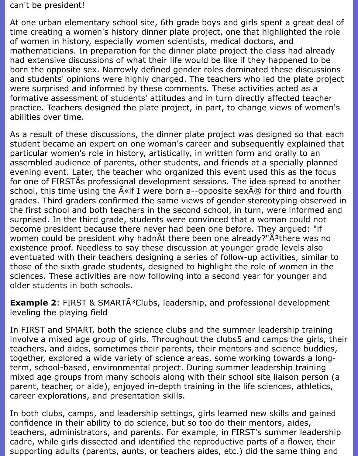#### can't be president!

At one urban elementary school site, 6th grade boys and girls spent a great deal of time creating a women's history dinner plate project, one that highlighted the role of women in history, especially women scientists, medical doctors, and mathematicians. In preparation for the dinner plate project the class had already had extensive discussions of what their life would be like if they happened to be born the opposite sex. Narrowly defined gender roles dominated these discussions and students' opinions were highly charged. The teachers who led the plate project were surprised and informed by these comments. These activities acted as a formative assessment of students' attitudes and in turn directly affected teacher practice. Teachers designed the plate project, in part, to change views of women's abilities over time.

As a result of these discussions, the dinner plate project was designed so that each student became an expert on one woman's career and subsequently explained that particular women's role in history, artistically, in written form and orally to an assembled audience of parents, other students, and friends at a specially planned evening event. Later, the teacher who organized this event used this as the focus for one of FIRSTÃs professional development sessions. The idea spread to another school, this time using the  $\tilde{A}$ «if I were born a--opposite sex $\tilde{A}$ ® for third and fourth grades. Third graders confirmed the same views of gender stereotyping observed in the first school and both teachers in the second school, in turn, were informed and surprised. In the third grade, students were convinced that a woman could not become president because there never had been one before. They argued: "if women could be president why hadnÃt there been one already?" $\tilde{A}^3$ there was no existence proof. Needless to say these discussion at younger grade levels also eventuated with their teachers designing a series of follow-up activities, similar to those of the sixth grade students, designed to highlight the role of women in the sciences. These activities are now following into a second year for younger and older students in both schools.

**Example 2: FIRST & SMARTA<sup>3</sup>Clubs, leadership, and professional development** leveling the playing field

In FIRST and SMART, both the science clubs and the summer leadership training involve a mixed age group of girls. Throughout the clubs5 and camps the girls, their teachers, and aides, sometimes their parents, their mentors and science buddies, together, explored a wide variety of science areas, some working towards a longterm, school-based, environmental project. During summer leadership training mixed age groups from many schools along with their school site liaison person (a parent, teacher, or aide), enjoyed in-depth training in the life sciences, athletics, career explorations, and presentation skills.

In both clubs, camps, and leadership settings, girls learned new skills and gained confidence in their ability to do science, but so too do their mentors, aides, teachers, administrators, and parents. For example, in FIRST's summer leadership cadre, while girls dissected and identified the reproductive parts of a flower, their supporting adults (parents, aunts, or teachers aides, etc.) did the same thing and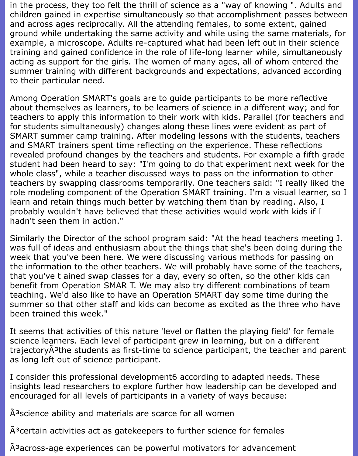in the process, they too felt the thrill of science as a "way of knowing ". Adults and children gained in expertise simultaneously so that accomplishment passes between and across ages reciprocally. All the attending females, to some extent, gained ground while undertaking the same activity and while using the same materials, for example, a microscope. Adults re-captured what had been left out in their science training and gained confidence in the role of life-long learner while, simultaneously acting as support for the girls. The women of many ages, all of whom entered the summer training with different backgrounds and expectations, advanced according to their particular need.

Among Operation SMART's goals are to guide participants to be more reflective about themselves as learners, to be learners of science in a different way; and for teachers to apply this information to their work with kids. Parallel (for teachers and for students simultaneously) changes along these lines were evident as part of SMART summer camp training. After modeling lessons with the students, teachers and SMART trainers spent time reflecting on the experience. These reflections revealed profound changes by the teachers and students. For example a fifth grade student had been heard to say: "I'm going to do that experiment next week for the whole class", while a teacher discussed ways to pass on the information to other teachers by swapping classrooms temporarily. One teachers said: "I really liked the role modeling component of the Operation SMART training. I'm a visual learner, so I learn and retain things much better by watching them than by reading. Also, I probably wouldn't have believed that these activities would work with kids if I hadn't seen them in action."

Similarly the Director of the school program said: "At the head teachers meeting J. was full of ideas and enthusiasm about the things that she's been doing during the week that you've been here. We were discussing various methods for passing on the information to the other teachers. We will probably have some of the teachers, that you've t ained swap classes for a day, every so often, so the other kids can benefit from Operation SMAR T. We may also try different combinations of team teaching. We'd also like to have an Operation SMART day some time during the summer so that other staff and kids can become as excited as the three who have been trained this week."

It seems that activities of this nature 'level or flatten the playing field' for female science learners. Each level of participant grew in learning, but on a different trajectory $\tilde{A}^3$ the students as first-time to science participant, the teacher and parent as long left out of science participant.

I consider this professional development6 according to adapted needs. These insights lead researchers to explore further how leadership can be developed and encouraged for all levels of participants in a variety of ways because:

 $\tilde{A}^3$ science ability and materials are scarce for all women

 $A<sup>3</sup>$ certain activities act as gatekeepers to further science for females

A<sup>3</sup> across-age experiences can be powerful motivators for advancement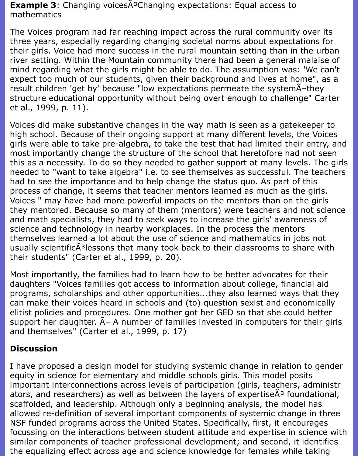**Example 3**: Changing voices A<sup>3</sup>Changing expectations: Equal access to mathematics

The Voices program had far reaching impact across the rural community over its three years, especially regarding changing societal norms about expectations for their girls. Voice had more success in the rural mountain setting than in the urban river setting. Within the Mountain community there had been a general malaise of mind regarding what the girls might be able to do. The assumption was: 'We can't expect too much of our students, given their background and lives at home", as a result children 'get by' because "low expectations permeate the systemA-they structure educational opportunity without being overt enough to challenge" Carter et al., 1999, p. 11).

Voices did make substantive changes in the way math is seen as a gatekeeper to high school. Because of their ongoing support at many different levels, the Voices girls were able to take pre-algebra, to take the test that had limited their entry, and most importantly change the structure of the school that heretofore had not seen this as a necessity. To do so they needed to gather support at many levels. The girls needed to "want to take algebra" i.e. to see themselves as successful. The teachers had to see the importance and to help change the status quo. As part of this process of change, it seems that teacher mentors learned as much as the girls. Voices " may have had more powerful impacts on the mentors than on the girls they mentored. Because so many of them (mentors) were teachers and not science and math specialists, they had to seek ways to increase the girls' awareness of science and technology in nearby workplaces. In the process the mentors themselves learned a lot about the use of science and mathematics in jobs not usually scientific $\tilde{A}^3$ lessons that many took back to their classrooms to share with their students" (Carter et al., 1999, p. 20).

Most importantly, the families had to learn how to be better advocates for their daughters "Voices families got access to information about college, financial aid programs, scholarships and other opportunities...they also learned ways that they can make their voices heard in schools and (to) question sexist and economically elitist policies and procedures. One mother got her GED so that she could better support her daughter.  $A - A$  number of families invested in computers for their girls and themselves" (Carter et al., 1999, p. 17)

### **Discussion**

I have proposed a design model for studying systemic change in relation to gender equity in science for elementary and middle schools girls. This model posits important interconnections across levels of participation (girls, teachers, administr ators, and researchers) as well as between the layers of expertise $\tilde{A}^3$  foundational, scaffolded, and leadership. Although only a beginning analysis, the model has allowed re-definition of several important components of systemic change in three NSF funded programs across the United States. Specifically, first, it encourages focussing on the interactions between student attitude and expertise in science with similar components of teacher professional development; and second, it identifies the equalizing effect across age and science knowledge for females while taking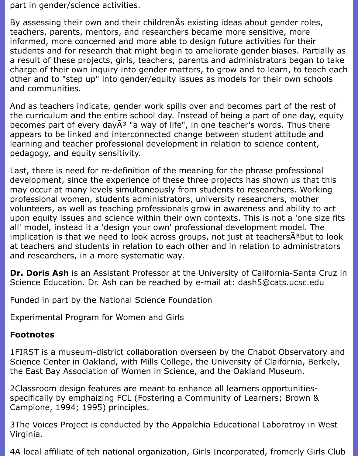part in gender/science activities.

By assessing their own and their childrenÃs existing ideas about gender roles, teachers, parents, mentors, and researchers became more sensitive, more informed, more concerned and more able to design future activities for their students and for research that might begin to ameliorate gender biases. Partially as a result of these projects, girls, teachers, parents and administrators began to take charge of their own inquiry into gender matters, to grow and to learn, to teach each other and to "step up" into gender/equity issues as models for their own schools and communities.

And as teachers indicate, gender work spills over and becomes part of the rest of the curriculum and the entire school day. Instead of being a part of one day, equity becomes part of every day $\tilde{A}^3$  "a way of life", in one teacher's words. Thus there appears to be linked and interconnected change between student attitude and learning and teacher professional development in relation to science content, pedagogy, and equity sensitivity.

Last, there is need for re-definition of the meaning for the phrase professional development, since the experience of these three projects has shown us that this may occur at many levels simultaneously from students to researchers. Working professional women, students administrators, university researchers, mother volunteers, as well as teaching professionals grow in awareness and ability to act upon equity issues and science within their own contexts. This is not a 'one size fits all' model, instead it a 'design your own' professional development model. The implication is that we need to look across groups, not just at teachers $\tilde{A}^3$ but to look at teachers and students in relation to each other and in relation to administrators and researchers, in a more systematic way.

**Dr. Doris Ash** is an Assistant Professor at the University of California-Santa Cruz in Science Education. Dr. Ash can be reached by e-mail at: dash5@cats.ucsc.edu

Funded in part by the National Science Foundation

Experimental Program for Women and Girls

## **Footnotes**

1FIRST is a museum-district collaboration overseen by the Chabot Observatory and Science Center in Oakland, with Mills College, the University of Claifornia, Berkely, the East Bay Association of Women in Science, and the Oakland Museum.

2Classroom design features are meant to enhance all learners opportunitiesspecifically by emphaizing FCL (Fostering a Community of Learners; Brown & Campione, 1994; 1995) principles.

3The Voices Project is conducted by the Appalchia Educational Laboratroy in West Virginia.

4A local affiliate of teh national organization, Girls Incorporated, fromerly Girls Club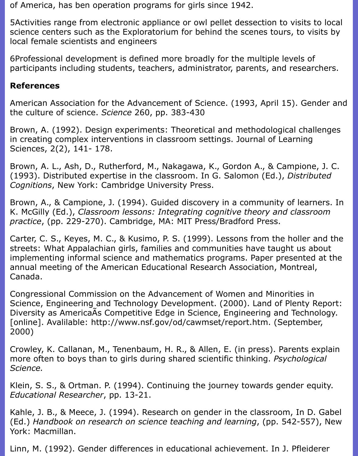of America, has ben operation programs for girls since 1942.

5Activities range from electronic appliance or owl pellet dessection to visits to local science centers such as the Exploratorium for behind the scenes tours, to visits by local female scientists and engineers

6Professional development is defined more broadly for the multiple levels of participants including students, teachers, administrator, parents, and researchers.

### **References**

American Association for the Advancement of Science. (1993, April 15). Gender and the culture of science. *Science* 260, pp. 383-430

Brown, A. (1992). Design experiments: Theoretical and methodological challenges in creating complex interventions in classroom settings. Journal of Learning Sciences, 2(2), 141- 178.

Brown, A. L., Ash, D., Rutherford, M., Nakagawa, K., Gordon A., & Campione, J. C. (1993). Distributed expertise in the classroom. In G. Salomon (Ed.), *Distributed Cognitions*, New York: Cambridge University Press.

Brown, A., & Campione, J. (1994). Guided discovery in a community of learners. In K. McGilly (Ed.), *Classroom lessons: Integrating cognitive theory and classroom practice*, (pp. 229-270). Cambridge, MA: MIT Press/Bradford Press.

Carter, C. S., Keyes, M. C., & Kusimo, P. S. (1999). Lessons from the holler and the streets: What Appalachian girls, families and communities have taught us about implementing informal science and mathematics programs. Paper presented at the annual meeting of the American Educational Research Association, Montreal, Canada.

Congressional Commission on the Advancement of Women and Minorities in Science, Engineering and Technology Development. (2000). Land of Plenty Report: Diversity as AmericaÃs Competitive Edge in Science, Engineering and Technology. [online]. Avalilable: http://www.nsf.gov/od/cawmset/report.htm. (September, 2000)

Crowley, K. Callanan, M., Tenenbaum, H. R., & Allen, E. (in press). Parents explain more often to boys than to girls during shared scientific thinking. *Psychological Science.*

Klein, S. S., & Ortman. P. (1994). Continuing the journey towards gender equity. *Educational Researcher*, pp. 13-21.

Kahle, J. B., & Meece, J. (1994). Research on gender in the classroom, In D. Gabel (Ed.) *Handbook on research on science teaching and learning*, (pp. 542-557), New York: Macmillan.

Linn, M. (1992). Gender differences in educational achievement. In J. Pfleiderer